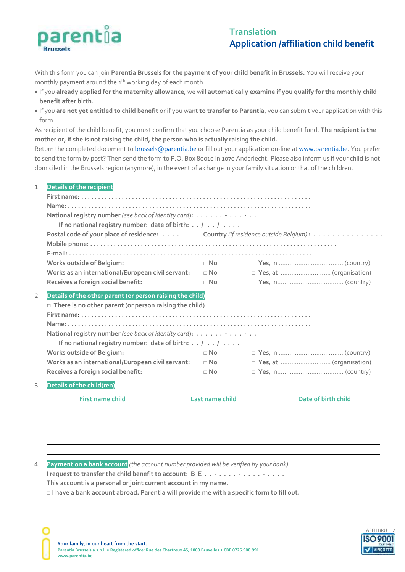

# **Translation Application /affiliation child benefit**

With this form you can join **Parentia Brussels for the payment of your child benefit in Brussels.** You will receive your monthly payment around the 1<sup>th</sup> working day of each month.

- If you **already applied for the maternity allowance**, we will **automatically examine if you qualify for the monthly child benefit after birth.**
- If you **are not yet entitled to child benefit** or if you want **to transfer to Parentia**, you can submit your application with this form.

As recipient of the child benefit, you must confirm that you choose Parentia as your child benefit fund. **The recipient is the mother or, if she is not raising the child, the person who is actually raising the child.**

Return the completed document to **brussels@parentia.be** or fill out your application on-line at [www.parentia.be.](http://www.parentia.be/) You prefer to send the form by post? Then send the form to P.O. Box 80010 in 1070 Anderlecht. Please also inform us if your child is not domiciled in the Brussels region (anymore), in the event of a change in your family situation or that of the children.

#### 1. **Details of the recipient**

| National registry number (see back of identity card):<br>If no national registry number: date of birth: $\ldots$ / $\ldots$ / $\ldots$ . |                                                                                  |  |  |
|------------------------------------------------------------------------------------------------------------------------------------------|----------------------------------------------------------------------------------|--|--|
|                                                                                                                                          | Postal code of your place of residence: Country (if residence outside Belgium) : |  |  |
|                                                                                                                                          |                                                                                  |  |  |
|                                                                                                                                          |                                                                                  |  |  |
| <b>Works outside of Belgium:</b>                                                                                                         | $\sqcap$ No                                                                      |  |  |
| Works as an international/European civil servant:                                                                                        | $\Box$ No                                                                        |  |  |
| Receives a foreign social benefit:                                                                                                       | $\sqcap$ No                                                                      |  |  |
| Details of the other parent (or person raising the child)<br>2.                                                                          |                                                                                  |  |  |
| $\Box$ There is no other parent (or person raising the child)                                                                            |                                                                                  |  |  |
|                                                                                                                                          |                                                                                  |  |  |
|                                                                                                                                          |                                                                                  |  |  |
| National registry number (see back of identity card):                                                                                    |                                                                                  |  |  |
| If no national registry number: date of birth: $\ldots$ / $\ldots$ / $\ldots$                                                            |                                                                                  |  |  |
| <b>Works outside of Belgium:</b>                                                                                                         | $\sqcap$ No                                                                      |  |  |
| Works as an international/European civil servant:                                                                                        | $\Box$ No $\Box$                                                                 |  |  |
| Receives a foreign social benefit:                                                                                                       | $\sqcap$ No                                                                      |  |  |

#### 3. **Details of the child(ren)**

| First name child | Last name child | Date of birth child |  |  |
|------------------|-----------------|---------------------|--|--|
|                  |                 |                     |  |  |
|                  |                 |                     |  |  |
|                  |                 |                     |  |  |
|                  |                 |                     |  |  |
|                  |                 |                     |  |  |

## 4. **Payment on a bank account** *(the account number provided will be verified by your bank)*

**I request to transfer the child benefit to account: B E . . - . . . . - . . . . - . . . .**

**This account is a personal or joint current account in my name.**

**□ I have a bank account abroad. Parentia will provide me with a specific form to fill out.**